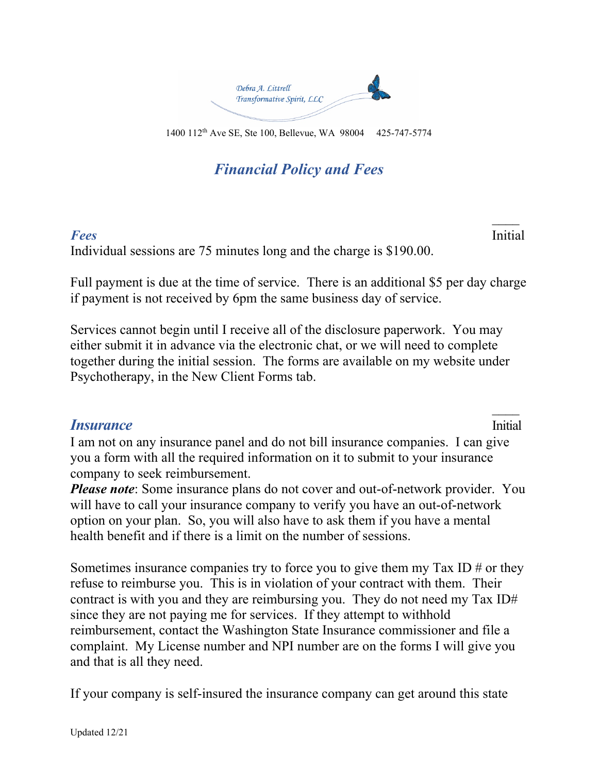

*Financial Policy and Fees*

*Fees* Initial Individual sessions are 75 minutes long and the charge is \$190.00.

Full payment is due at the time of service. There is an additional \$5 per day charge if payment is not received by 6pm the same business day of service.

Services cannot begin until I receive all of the disclosure paperwork. You may either submit it in advance via the electronic chat, or we will need to complete together during the initial session. The forms are available on my website under Psychotherapy, in the New Client Forms tab.

## **Insurance** Initial

 $\overline{\phantom{a}}$ 

 $\overline{\phantom{a}}$ 

I am not on any insurance panel and do not bill insurance companies. I can give you a form with all the required information on it to submit to your insurance company to seek reimbursement.

*Please note*: Some insurance plans do not cover and out-of-network provider. You will have to call your insurance company to verify you have an out-of-network option on your plan. So, you will also have to ask them if you have a mental health benefit and if there is a limit on the number of sessions.

Sometimes insurance companies try to force you to give them my Tax ID  $#$  or they refuse to reimburse you. This is in violation of your contract with them. Their contract is with you and they are reimbursing you. They do not need my Tax ID# since they are not paying me for services. If they attempt to withhold reimbursement, contact the Washington State Insurance commissioner and file a complaint. My License number and NPI number are on the forms I will give you and that is all they need.

If your company is self-insured the insurance company can get around this state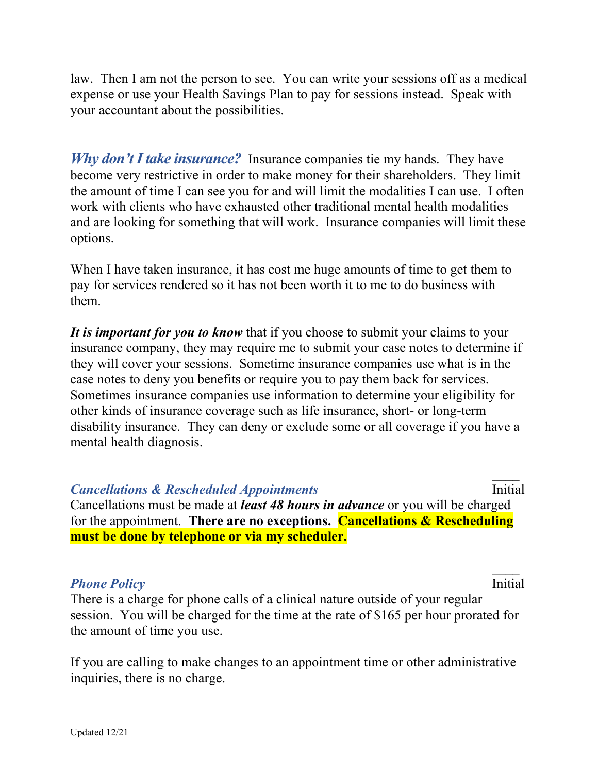law. Then I am not the person to see. You can write your sessions off as a medical expense or use your Health Savings Plan to pay for sessions instead. Speak with your accountant about the possibilities.

*Why don't I take insurance?* Insurance companies tie my hands. They have become very restrictive in order to make money for their shareholders. They limit the amount of time I can see you for and will limit the modalities I can use. I often work with clients who have exhausted other traditional mental health modalities and are looking for something that will work. Insurance companies will limit these options.

When I have taken insurance, it has cost me huge amounts of time to get them to pay for services rendered so it has not been worth it to me to do business with them.

*It is important for you to know* that if you choose to submit your claims to your insurance company, they may require me to submit your case notes to determine if they will cover your sessions. Sometime insurance companies use what is in the case notes to deny you benefits or require you to pay them back for services. Sometimes insurance companies use information to determine your eligibility for other kinds of insurance coverage such as life insurance, short- or long-term disability insurance. They can deny or exclude some or all coverage if you have a mental health diagnosis.

## *Cancellations & Rescheduled Appointments* initial

Cancellations must be made at *least 48 hours in advance* or you will be charged for the appointment. **There are no exceptions. Cancellations & Rescheduling must be done by telephone or via my scheduler.**

## **Phone Policy** Initial

 $\overline{\phantom{a}}$ 

 $\overline{\phantom{a}}$ 

There is a charge for phone calls of a clinical nature outside of your regular session. You will be charged for the time at the rate of \$165 per hour prorated for the amount of time you use.

If you are calling to make changes to an appointment time or other administrative inquiries, there is no charge.